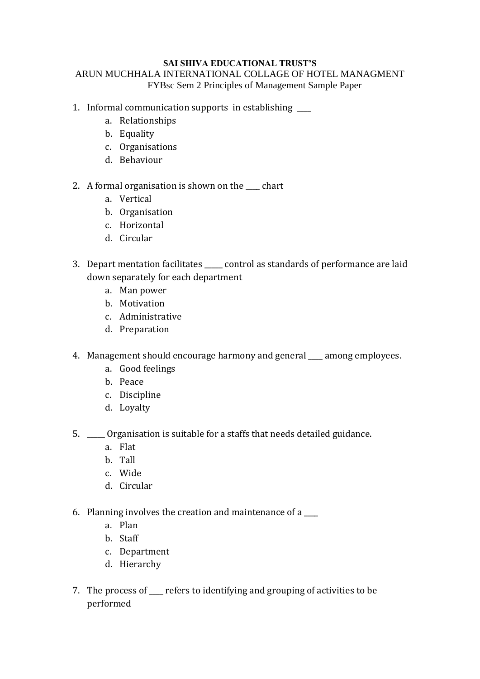#### **SAI SHIVA EDUCATIONAL TRUST'S** ARUN MUCHHALA INTERNATIONAL COLLAGE OF HOTEL MANAGMENT FYBsc Sem 2 Principles of Management Sample Paper

- 1. Informal communication supports in establishing
	- a. Relationships
	- b. Equality
	- c. Organisations
	- d. Behaviour
- 2. A formal organisation is shown on the \_\_\_\_ chart
	- a. Vertical
	- b. Organisation
	- c. Horizontal
	- d. Circular
- 3. Depart mentation facilitates control as standards of performance are laid down separately for each department
	- a. Man power
	- b. Motivation
	- c. Administrative
	- d. Preparation
- 4. Management should encourage harmony and general samong employees.
	- a. Good feelings
	- b. Peace
	- c. Discipline
	- d. Loyalty
- 5. \_\_\_\_\_ Organisation is suitable for a staffs that needs detailed guidance.
	- a. Flat
	- b. Tall
	- c. Wide
	- d. Circular
- 6. Planning involves the creation and maintenance of a \_\_\_\_
	- a. [Plan](http://en.wikipedia.org/wiki/Plan)
	- b. Staff
	- c. Department
	- d. Hierarchy
- 7. The process of \_\_\_\_ refers to identifying and grouping of activities to be performed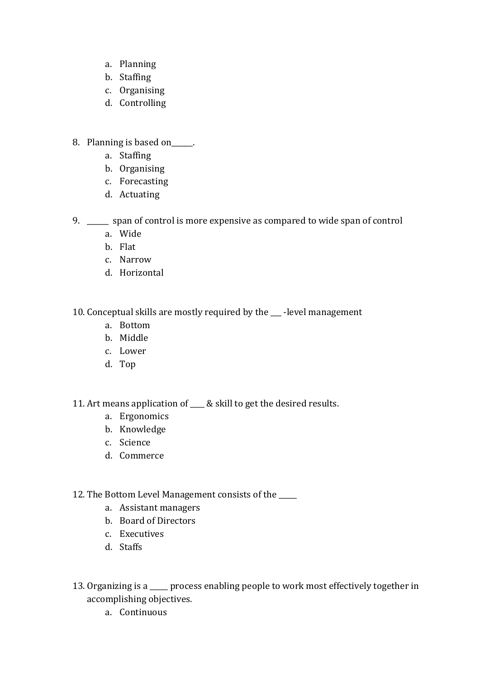- a. Planning
- b. Staffing
- c. Organising
- d. Controlling
- 8. Planning is based on\_\_\_\_\_.
	- a. Staffing
	- b. Organising
	- c. Forecasting
	- d. Actuating
- 9. \_\_\_\_\_\_ span of control is more expensive as compared to wide span of control
	- a. Wide
	- b. Flat
	- c. Narrow
	- d. Horizontal

10. Conceptual skills are mostly required by the \_\_\_ -level management

- a. Bottom
- b. Middle
- c. Lower
- d. Top

11. Art means application of \_\_\_\_ & skill to get the desired results.

- a. Ergonomics
- b. Knowledge
- c. Science
- d. Commerce
- 12. The Bottom Level Management consists of the
	- a. Assistant managers
	- b. Board of Directors
	- c. Executives
	- d. Staffs
- 13. Organizing is a \_\_\_\_\_ process enabling people to work most effectively together in accomplishing objectives.
	- a. Continuous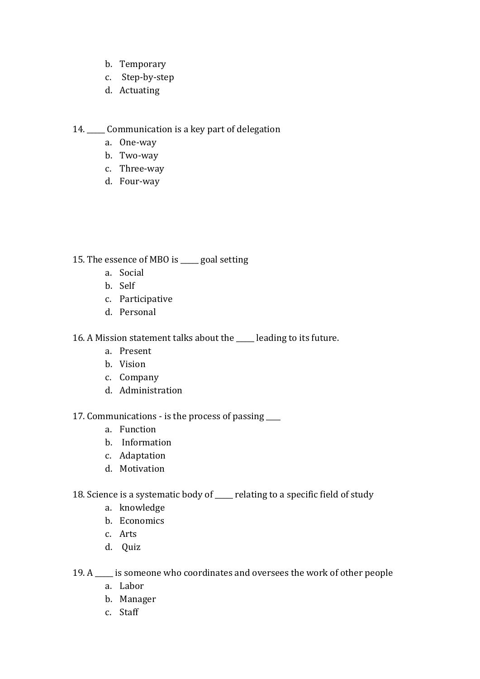- b. Temporary
- c. Step-by-step
- d. Actuating

14. \_\_\_\_\_ Communication is a key part of delegation

- a. One-way
- b. Two-way
- c. Three-way
- d. Four-way

15. The essence of MBO is \_\_\_\_\_ goal setting

- a. Social
- b. Self
- c. Participative
- d. Personal

16. A Mission statement talks about the \_\_\_\_\_ leading to its future.

- a. Present
- b. Vision
- c. Company
- d. Administration

17. Communications - is the process of passing \_\_\_\_

- a. Function
- b. Information
- c. Adaptation
- d. Motivation
- 18. Science is a systematic body of \_\_\_\_\_ relating to a specific field of study
	- a. knowledge
	- b. Economics
	- c. Arts
	- d. Quiz

19. A \_\_\_\_\_ is someone who coordinates and oversees the work of other people

- a. Labor
- b. Manager
- c. Staff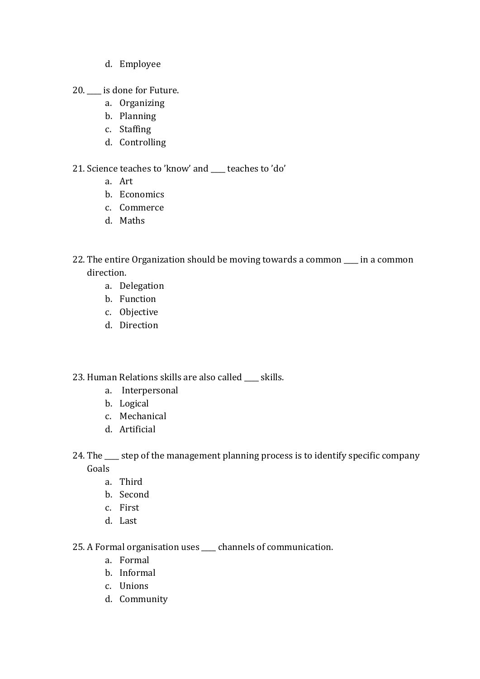- d. Employee
- 20. **is done for Future.** 
	- a. Organizing
	- b. Planning
	- c. Staffing
	- d. Controlling

# 21. Science teaches to 'know' and \_\_\_\_ teaches to 'do'

- a. Art
- b. Economics
- c. Commerce
- d. Maths
- 22. The entire Organization should be moving towards a common \_\_\_\_ in a common direction.
	- a. Delegation
	- b. Function
	- c. Objective
	- d. Direction
- 23. Human Relations skills are also called skills.
	- a. Interpersonal
	- b. Logical
	- c. Mechanical
	- d. Artificial
- 24. The \_\_\_\_ step of the management planning process is to identify specific company Goals
	- a. Third
	- b. Second
	- c. First
	- d. Last

25. A Formal organisation uses \_\_\_\_ channels of communication.

- a. Formal
- b. Informal
- c. Unions
- d. Community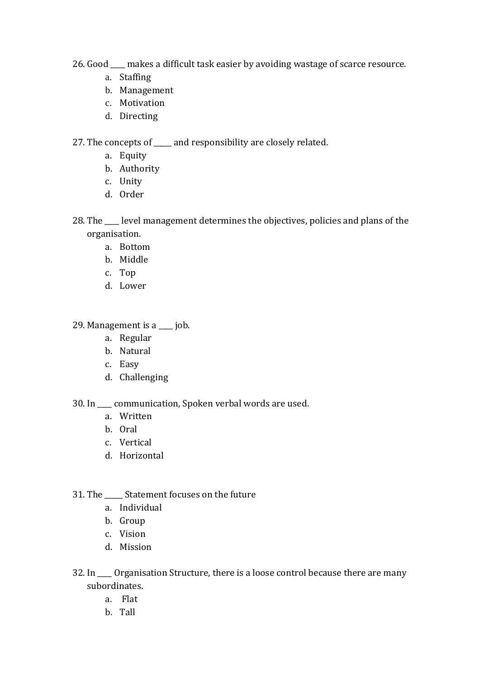- 26. Good \_\_\_\_ makes a difficult task easier by avoiding wastage of scarce resource.
	- a. Staffing
	- b. Management
	- c. Motivation
	- d. Directing

27. The concepts of \_\_\_\_\_ and responsibility are closely related.

- a. Equity
- b. Authority
- c. Unity
- d. Order
- 28. The level management determines the objectives, policies and plans of the organisation.
	- a. Bottom
	- b. Middle
	- c. Top
	- d. Lower

### 29. [Management](http://kalyan-city.blogspot.com/2011/04/what-is-management-definitions-meaning.html) is a \_\_\_\_ job.

- a. Regular
- b. Natural
- c. Easy
- d. Challenging

30. In \_\_\_\_ communication, Spoken verbal words are used.

- a. Written
- b. Oral
- c. Vertical
- d. Horizontal

### 31. The Statement focuses on the future

- a. Individual
- b. Group
- c. Vision
- d. Mission
- 32. In \_\_\_\_ Organisation Structure, there is a loose control because there are many subordinates.
	- a. Flat
	- b. Tall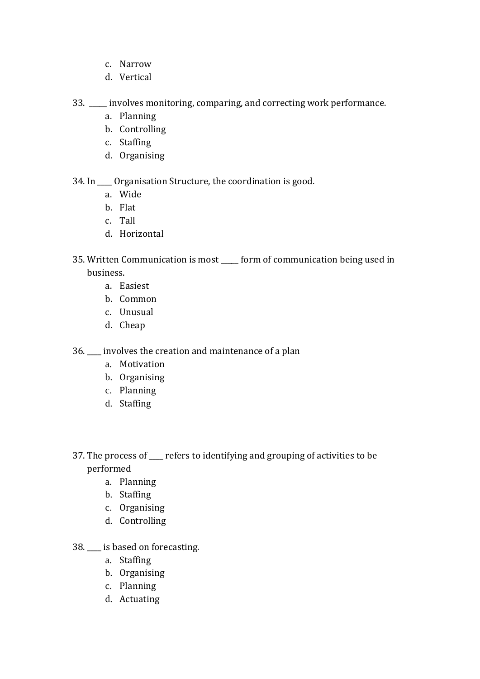- c. Narrow
- d. Vertical

33. \_\_\_\_\_ involves monitoring, comparing, and correcting work performance.

- a. Planning
- b. Controlling
- c. Staffing
- d. Organising

34. In \_\_\_\_ Organisation Structure, the coordination is good.

- a. Wide
- b. Flat
- c. Tall
- d. Horizontal
- 35. Written Communication is most \_\_\_\_\_ form of communication being used in business.
	- a. Easiest
	- b. Common
	- c. Unusual
	- d. Cheap

36. \_\_\_\_ involves the creation and maintenance of a [plan](http://en.wikipedia.org/wiki/Plan)

- a. Motivation
- b. Organising
- c. Planning
- d. Staffing
- 37. The process of \_\_\_\_ refers to identifying and grouping of activities to be performed
	- a. Planning
	- b. Staffing
	- c. Organising
	- d. Controlling
- 38. \_\_\_\_ is based on forecasting.
	- a. Staffing
	- b. Organising
	- c. Planning
	- d. Actuating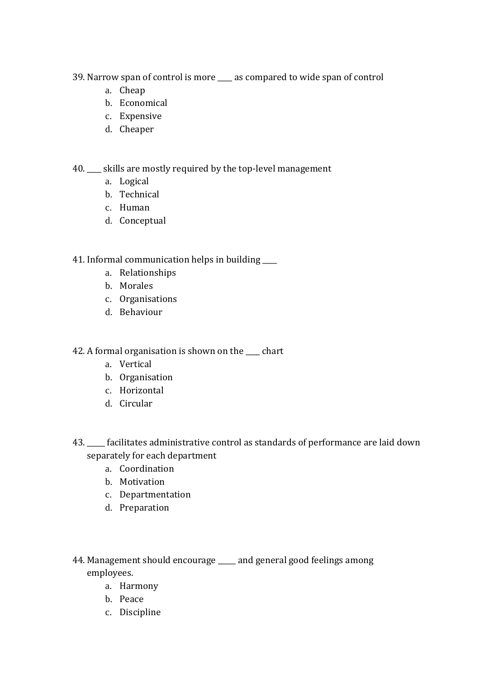39. Narrow span of control is more \_\_\_\_ as compared to wide span of control

- a. Cheap
- b. Economical
- c. Expensive
- d. Cheaper

40. \_\_\_\_ skills are mostly required by the top-level management

- a. Logical
- b. Technical
- c. Human
- d. Conceptual

41. Informal communication helps in building

- a. Relationships
- b. Morales
- c. Organisations
- d. Behaviour

42. A formal organisation is shown on the \_\_\_\_ chart

- a. Vertical
- b. Organisation
- c. Horizontal
- d. Circular
- 43. \_\_\_\_\_ facilitates administrative control as standards of performance are laid down separately for each department
	- a. Coordination
	- b. Motivation
	- c. Departmentation
	- d. Preparation
- 44. Management should encourage and general good feelings among employees.
	- a. Harmony
	- b. Peace
	- c. Discipline